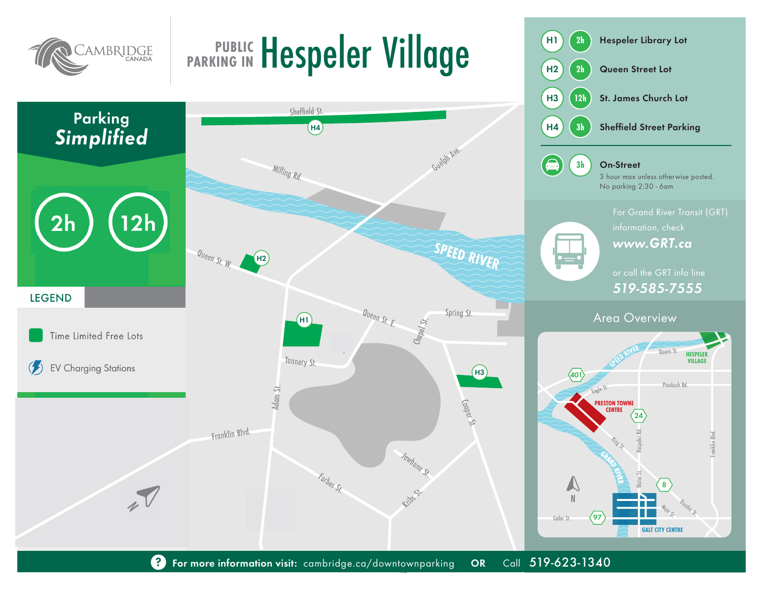

## **PUBLIC Hespeler Village PARKING IN**

H1 **2h** Hespeler Library Lot

H2 **2h** Queen Street Lot



Henderson St. ? For more information visit: cambridge.ca/downtownparking OR Call 519-623-1340